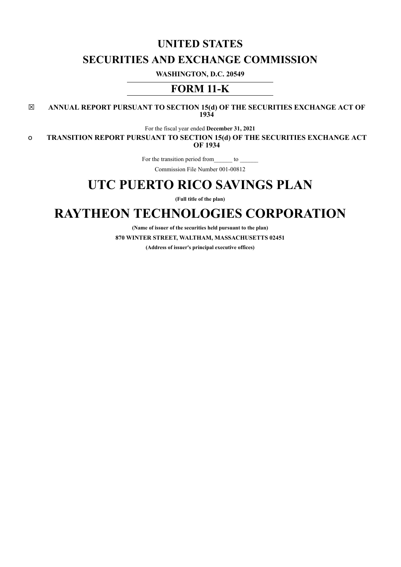# **UNITED STATES SECURITIES AND EXCHANGE COMMISSION**

**WASHINGTON, D.C. 20549**

## **FORM 11-K**

☒ **ANNUAL REPORT PURSUANT TO SECTION 15(d) OF THE SECURITIES EXCHANGE ACT OF 1934**

For the fiscal year ended **December 31, 2021**

o **TRANSITION REPORT PURSUANT TO SECTION 15(d) OF THE SECURITIES EXCHANGE ACT OF 1934**

For the transition period from\_\_\_\_\_\_ to \_\_\_\_\_\_

Commission File Number 001-00812

## **UTC PUERTO RICO SAVINGS PLAN**

**(Full title of the plan)**

# **RAYTHEON TECHNOLOGIES CORPORATION**

**(Name of issuer of the securities held pursuant to the plan) 870 WINTER STREET, WALTHAM, MASSACHUSETTS 02451 (Address of issuer's principal executive offices)**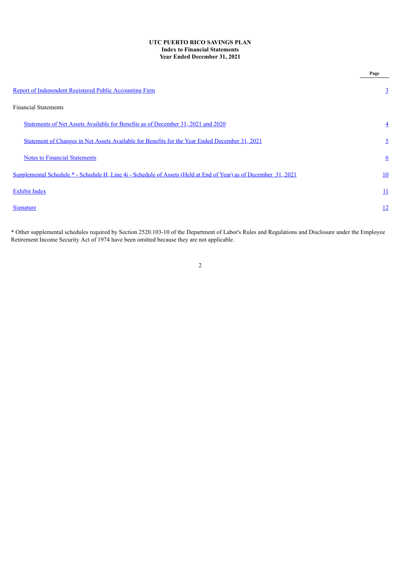#### **UTC PUERTO RICO SAVINGS PLAN Index to Financial Statements Year Ended December 31, 2021**

|                                                                                                                 | Page           |
|-----------------------------------------------------------------------------------------------------------------|----------------|
| Report of Independent Registered Public Accounting Firm                                                         | $\overline{3}$ |
| <b>Financial Statements</b>                                                                                     |                |
| Statements of Net Assets Available for Benefits as of December 31, 2021 and 2020                                | $\overline{4}$ |
| Statement of Changes in Net Assets Available for Benefits for the Year Ended December 31, 2021                  | $\overline{2}$ |
| <b>Notes to Financial Statements</b>                                                                            | <u>6</u>       |
| Supplemental Schedule *- Schedule H, Line 4i - Schedule of Assets (Held at End of Year) as of December 31, 2021 | 10             |
| <b>Exhibit Index</b>                                                                                            | <u> 11</u>     |
| <b>Signature</b>                                                                                                | <u>12</u>      |

<span id="page-1-0"></span>**\*** Other supplemental schedules required by Section 2520.103-10 of the Department of Labor's Rules and Regulations and Disclosure under the Employee Retirement Income Security Act of 1974 have been omitted because they are not applicable.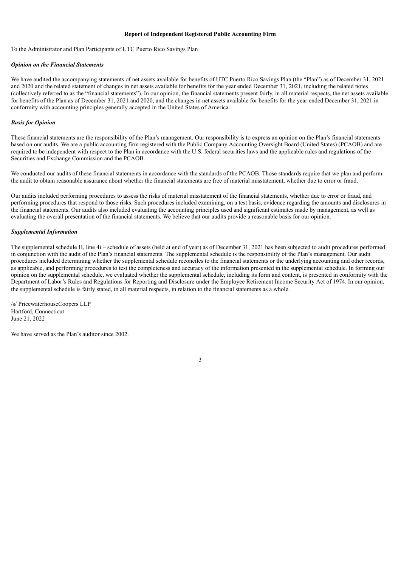#### **Report of Independent Registered Public Accounting Firm**

To the Administrator and Plan Participants of UTC Puerto Rico Savings Plan

#### *Opinion on the Financial Statements*

We have audited the accompanying statements of net assets available for benefits of UTC Puerto Rico Savings Plan (the "Plan") as of December 31, 2021 and 2020 and the related statement of changes in net assets available for benefits for the year ended December 31, 2021, including the related notes (collectively referred to as the "financial statements"). In our opinion, the financial statements present fairly, in all material respects, the net assets available for benefits of the Plan as of December 31, 2021 and 2020, and the changes in net assets available for benefits for the year ended December 31, 2021 in conformity with accounting principles generally accepted in the United States of America.

#### *Basis for Opinion*

These financial statements are the responsibility of the Plan's management. Our responsibility is to express an opinion on the Plan's financial statements based on our audits. We are a public accounting firm registered with the Public Company Accounting Oversight Board (United States) (PCAOB) and are required to be independent with respect to the Plan in accordance with the U.S. federal securities laws and the applicable rules and regulations of the Securities and Exchange Commission and the PCAOB.

We conducted our audits of these financial statements in accordance with the standards of the PCAOB. Those standards require that we plan and perform the audit to obtain reasonable assurance about whether the financial statements are free of material misstatement, whether due to error or fraud.

Our audits included performing procedures to assess the risks of material misstatement of the financial statements, whether due to error or fraud, and performing procedures that respond to those risks. Such procedures included examining, on a test basis, evidence regarding the amounts and disclosures in the financial statements. Our audits also included evaluating the accounting principles used and significant estimates made by management, as well as evaluating the overall presentation of the financial statements. We believe that our audits provide a reasonable basis for our opinion.

#### *Supplemental Information*

The supplemental schedule H, line 4i – schedule of assets (held at end of year) as of December 31, 2021 has been subjected to audit procedures performed in conjunction with the audit of the Plan's financial statements. The supplemental schedule is the responsibility of the Plan's management. Our audit procedures included determining whether the supplemental schedule reconciles to the financial statements or the underlying accounting and other records, as applicable, and performing procedures to test the completeness and accuracy of the information presented in the supplemental schedule. In forming our opinion on the supplemental schedule, we evaluated whether the supplemental schedule, including its form and content, is presented in conformity with the Department of Labor's Rules and Regulations for Reporting and Disclosure under the Employee Retirement Income Security Act of 1974. In our opinion, the supplemental schedule is fairly stated, in all material respects, in relation to the financial statements as a whole.

/s/ PricewaterhouseCoopers LLP Hartford, Connecticut June 21, 2022

<span id="page-2-0"></span>We have served as the Plan's auditor since 2002.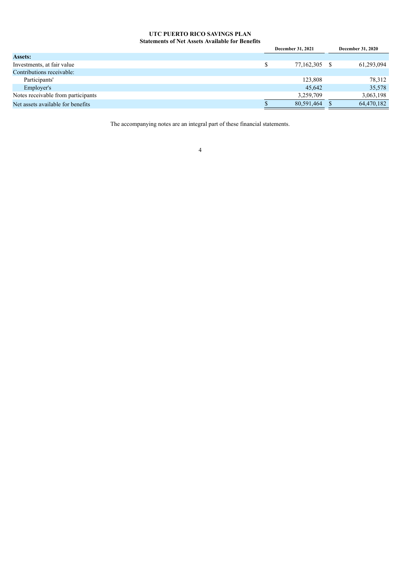### **UTC PUERTO RICO SAVINGS PLAN Statements of Net Assets Available for Benefits**

|            |                          | <b>December 31, 2020</b> |
|------------|--------------------------|--------------------------|
|            |                          |                          |
| 77,162,305 |                          | 61,293,094               |
|            |                          |                          |
| 123,808    |                          | 78,312                   |
| 45,642     |                          | 35,578                   |
| 3,259,709  |                          | 3,063,198                |
| 80,591,464 |                          | 64,470,182               |
|            | <b>December 31, 2021</b> |                          |

<span id="page-3-0"></span>The accompanying notes are an integral part of these financial statements.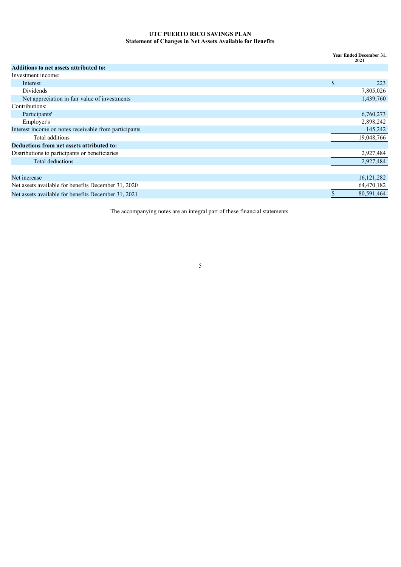## **UTC PUERTO RICO SAVINGS PLAN Statement of Changes in Net Assets Available for Benefits**

|                                                       | Year Ended December 31,<br>2021 |              |  |
|-------------------------------------------------------|---------------------------------|--------------|--|
| <b>Additions to net assets attributed to:</b>         |                                 |              |  |
| Investment income:                                    |                                 |              |  |
| Interest                                              | \$                              | 223          |  |
| Dividends                                             |                                 | 7,805,026    |  |
| Net appreciation in fair value of investments         |                                 | 1,439,760    |  |
| Contributions:                                        |                                 |              |  |
| Participants'                                         |                                 | 6,760,273    |  |
| Employer's                                            |                                 | 2,898,242    |  |
| Interest income on notes receivable from participants |                                 | 145,242      |  |
| Total additions                                       |                                 | 19,048,766   |  |
| Deductions from net assets attributed to:             |                                 |              |  |
| Distributions to participants or beneficiaries        |                                 | 2,927,484    |  |
| Total deductions                                      |                                 | 2,927,484    |  |
|                                                       |                                 |              |  |
| Net increase                                          |                                 | 16, 121, 282 |  |
| Net assets available for benefits December 31, 2020   |                                 | 64,470,182   |  |
| Net assets available for benefits December 31, 2021   |                                 | 80,591,464   |  |

<span id="page-4-0"></span>The accompanying notes are an integral part of these financial statements.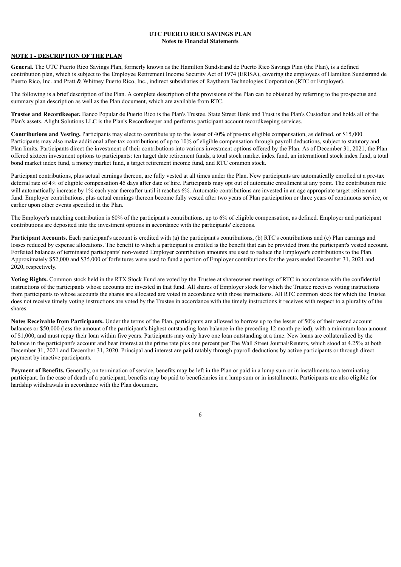#### **UTC PUERTO RICO SAVINGS PLAN Notes to Financial Statements**

#### **NOTE 1 - DESCRIPTION OF THE PLAN**

**General.** The UTC Puerto Rico Savings Plan, formerly known as the Hamilton Sundstrand de Puerto Rico Savings Plan (the Plan), is a defined contribution plan, which is subject to the Employee Retirement Income Security Act of 1974 (ERISA), covering the employees of Hamilton Sundstrand de Puerto Rico, Inc. and Pratt & Whitney Puerto Rico, Inc., indirect subsidiaries of Raytheon Technologies Corporation (RTC or Employer).

The following is a brief description of the Plan. A complete description of the provisions of the Plan can be obtained by referring to the prospectus and summary plan description as well as the Plan document, which are available from RTC.

**Trustee and Recordkeeper.** Banco Popular de Puerto Rico is the Plan's Trustee. State Street Bank and Trust is the Plan's Custodian and holds all of the Plan's assets. Alight Solutions LLC is the Plan's Recordkeeper and performs participant account recordkeeping services.

**Contributions and Vesting.** Participants may elect to contribute up to the lesser of 40% of pre-tax eligible compensation, as defined, or \$15,000. Participants may also make additional after-tax contributions of up to 10% of eligible compensation through payroll deductions, subject to statutory and Plan limits. Participants direct the investment of their contributions into various investment options offered by the Plan. As of December 31, 2021, the Plan offered sixteen investment options to participants: ten target date retirement funds, a total stock market index fund, an international stock index fund, a total bond market index fund, a money market fund, a target retirement income fund, and RTC common stock.

Participant contributions, plus actual earnings thereon, are fully vested at all times under the Plan. New participants are automatically enrolled at a pre-tax deferral rate of 4% of eligible compensation 45 days after date of hire. Participants may opt out of automatic enrollment at any point. The contribution rate will automatically increase by 1% each year thereafter until it reaches 6%. Automatic contributions are invested in an age appropriate target retirement fund. Employer contributions, plus actual earnings thereon become fully vested after two years of Plan participation or three years of continuous service, or earlier upon other events specified in the Plan.

The Employer's matching contribution is 60% of the participant's contributions, up to 6% of eligible compensation, as defined. Employer and participant contributions are deposited into the investment options in accordance with the participants' elections.

**Participant Accounts.** Each participant's account is credited with (a) the participant's contributions, (b) RTC's contributions and (c) Plan earnings and losses reduced by expense allocations. The benefit to which a participant is entitled is the benefit that can be provided from the participant's vested account. Forfeited balances of terminated participants' non-vested Employer contribution amounts are used to reduce the Employer's contributions to the Plan. Approximately \$52,000 and \$35,000 of forfeitures were used to fund a portion of Employer contributions for the years ended December 31, 2021 and 2020, respectively.

**Voting Rights.** Common stock held in the RTX Stock Fund are voted by the Trustee at shareowner meetings of RTC in accordance with the confidential instructions of the participants whose accounts are invested in that fund. All shares of Employer stock for which the Trustee receives voting instructions from participants to whose accounts the shares are allocated are voted in accordance with those instructions. All RTC common stock for which the Trustee does not receive timely voting instructions are voted by the Trustee in accordance with the timely instructions it receives with respect to a plurality of the shares.

**Notes Receivable from Participants.** Under the terms of the Plan, participants are allowed to borrow up to the lesser of 50% of their vested account balances or \$50,000 (less the amount of the participant's highest outstanding loan balance in the preceding 12 month period), with a minimum loan amount of \$1,000, and must repay their loan within five years. Participants may only have one loan outstanding at a time. New loans are collateralized by the balance in the participant's account and bear interest at the prime rate plus one percent per The Wall Street Journal/Reuters, which stood at 4.25% at both December 31, 2021 and December 31, 2020. Principal and interest are paid ratably through payroll deductions by active participants or through direct payment by inactive participants.

**Payment of Benefits.** Generally, on termination of service, benefits may be left in the Plan or paid in a lump sum or in installments to a terminating participant. In the case of death of a participant, benefits may be paid to beneficiaries in a lump sum or in installments. Participants are also eligible for hardship withdrawals in accordance with the Plan document.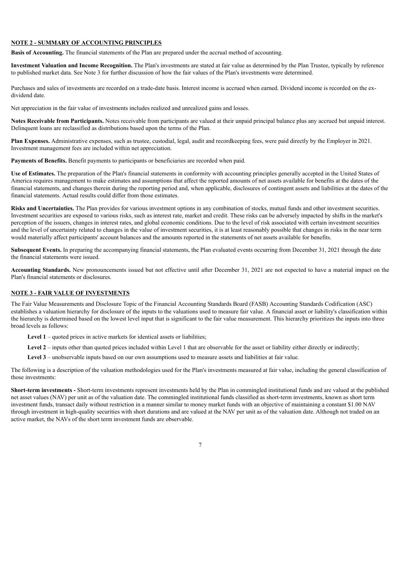#### **NOTE 2 - SUMMARY OF ACCOUNTING PRINCIPLES**

**Basis of Accounting.** The financial statements of the Plan are prepared under the accrual method of accounting.

**Investment Valuation and Income Recognition.** The Plan's investments are stated at fair value as determined by the Plan Trustee, typically by reference to published market data. See Note 3 for further discussion of how the fair values of the Plan's investments were determined.

Purchases and sales of investments are recorded on a trade-date basis. Interest income is accrued when earned. Dividend income is recorded on the exdividend date.

Net appreciation in the fair value of investments includes realized and unrealized gains and losses.

**Notes Receivable from Participants.** Notes receivable from participants are valued at their unpaid principal balance plus any accrued but unpaid interest. Delinquent loans are reclassified as distributions based upon the terms of the Plan.

**Plan Expenses.** Administrative expenses, such as trustee, custodial, legal, audit and recordkeeping fees, were paid directly by the Employer in 2021. Investment management fees are included within net appreciation.

**Payments of Benefits.** Benefit payments to participants or beneficiaries are recorded when paid.

**Use of Estimates.** The preparation of the Plan's financial statements in conformity with accounting principles generally accepted in the United States of America requires management to make estimates and assumptions that affect the reported amounts of net assets available for benefits at the dates of the financial statements, and changes therein during the reporting period and, when applicable, disclosures of contingent assets and liabilities at the dates of the financial statements. Actual results could differ from those estimates.

**Risks and Uncertainties.** The Plan provides for various investment options in any combination of stocks, mutual funds and other investment securities. Investment securities are exposed to various risks, such as interest rate, market and credit. These risks can be adversely impacted by shifts in the market's perception of the issuers, changes in interest rates, and global economic conditions. Due to the level of risk associated with certain investment securities and the level of uncertainty related to changes in the value of investment securities, it is at least reasonably possible that changes in risks in the near term would materially affect participants' account balances and the amounts reported in the statements of net assets available for benefits.

**Subsequent Events.** In preparing the accompanying financial statements, the Plan evaluated events occurring from December 31, 2021 through the date the financial statements were issued.

**Accounting Standards.** New pronouncements issued but not effective until after December 31, 2021 are not expected to have a material impact on the Plan's financial statements or disclosures.

### **NOTE 3 - FAIR VALUE OF INVESTMENTS**

The Fair Value Measurements and Disclosure Topic of the Financial Accounting Standards Board (FASB) Accounting Standards Codification (ASC) establishes a valuation hierarchy for disclosure of the inputs to the valuations used to measure fair value. A financial asset or liability's classification within the hierarchy is determined based on the lowest level input that is significant to the fair value measurement. This hierarchy prioritizes the inputs into three broad levels as follows:

**Level 1** – quoted prices in active markets for identical assets or liabilities;

Level 2 – inputs other than quoted prices included within Level 1 that are observable for the asset or liability either directly or indirectly;

**Level 3** – unobservable inputs based on our own assumptions used to measure assets and liabilities at fair value.

The following is a description of the valuation methodologies used for the Plan's investments measured at fair value, including the general classification of those investments:

**Short-term investments -** Short-term investments represent investments held by the Plan in commingled institutional funds and are valued at the published net asset values (NAV) per unit as of the valuation date. The commingled institutional funds classified as short-term investments, known as short term investment funds, transact daily without restriction in a manner similar to money market funds with an objective of maintaining a constant \$1.00 NAV through investment in high-quality securities with short durations and are valued at the NAV per unit as of the valuation date. Although not traded on an active market, the NAVs of the short term investment funds are observable.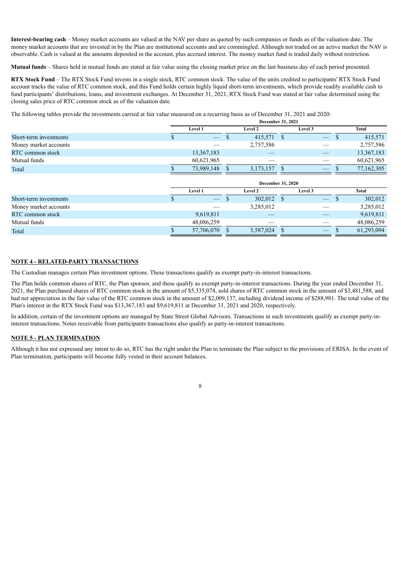**Interest-bearing cash** – Money market accounts are valued at the NAV per share as quoted by such companies or funds as of the valuation date. The money market accounts that are invested in by the Plan are institutional accounts and are commingled. Although not traded on an active market the NAV is observable. Cash is valued at the amounts deposited in the account, plus accrued interest. The money market fund is traded daily without restriction.

**Mutual funds** – Shares held in mutual funds are stated at fair value using the closing market price on the last business day of each period presented.

**RTX Stock Fund** – The RTX Stock Fund invests in a single stock, RTC common stock. The value of the units credited to participants' RTX Stock Fund account tracks the value of RTC common stock, and this Fund holds certain highly liquid short-term investments, which provide readily available cash to fund participants' distributions, loans, and investment exchanges. At December 31, 2021, RTX Stock Fund was stated at fair value determined using the closing sales price of RTC common stock as of the valuation date.

The following tables provide the investments carried at fair value measured on a recurring basis as of December 31, 2021 and 2020:

|                        | <b>December 31, 2021</b> |                                 |  |                |  |                                 |            |
|------------------------|--------------------------|---------------------------------|--|----------------|--|---------------------------------|------------|
|                        |                          | <b>Level 1</b>                  |  | <b>Level 2</b> |  | <b>Level 3</b>                  | Total      |
| Short-term investments |                          | $\hspace{0.1mm}-\hspace{0.1mm}$ |  | 415,571 \$     |  | $\qquad \qquad \longleftarrow$  | 415,571    |
| Money market accounts  |                          |                                 |  | 2,757,586      |  |                                 | 2,757,586  |
| RTC common stock       |                          | 13,367,183                      |  |                |  |                                 | 13,367,183 |
| Mutual funds           |                          | 60,621,965                      |  |                |  |                                 | 60,621,965 |
| Total                  |                          | 73,989,148                      |  | 3,173,157      |  | $\hspace{0.1mm}-\hspace{0.1mm}$ | 77,162,305 |

|                        | <b>December 31, 2020</b>        |  |                |  |         |  |            |
|------------------------|---------------------------------|--|----------------|--|---------|--|------------|
|                        | <b>Level 1</b>                  |  | <b>Level 2</b> |  | Level 3 |  | Total      |
| Short-term investments | $\hspace{0.1mm}-\hspace{0.1mm}$ |  | 302,012        |  |         |  | 302,012    |
| Money market accounts  |                                 |  | 3,285,012      |  |         |  | 3,285,012  |
| RTC common stock       | 9,619,811                       |  |                |  |         |  | 9,619,811  |
| Mutual funds           | 48,086,259                      |  |                |  |         |  | 48,086,259 |
| Total                  | 57,706,070                      |  | 3,587,024      |  |         |  | 61,293,094 |

#### **NOTE 4 - RELATED-PARTY TRANSACTIONS**

The Custodian manages certain Plan investment options. These transactions qualify as exempt party-in-interest transactions.

The Plan holds common shares of RTC, the Plan sponsor, and these qualify as exempt party-in-interest transactions. During the year ended December 31, 2021, the Plan purchased shares of RTC common stock in the amount of \$5,335,074, sold shares of RTC common stock in the amount of \$3,481,588, and had net appreciation in the fair value of the RTC common stock in the amount of \$2,009,137, including dividend income of \$288,981. The total value of the Plan's interest in the RTX Stock Fund was \$13,367,183 and \$9,619,811 at December 31, 2021 and 2020, respectively.

In addition, certain of the investment options are managed by State Street Global Advisors. Transactions in such investments qualify as exempt party-ininterest transactions. Notes receivable from participants transactions also qualify as party-in-interest transactions.

#### **NOTE 5 - PLAN TERMINATION**

Although it has not expressed any intent to do so, RTC has the right under the Plan to terminate the Plan subject to the provisions of ERISA. In the event of Plan termination, participants will become fully vested in their account balances.

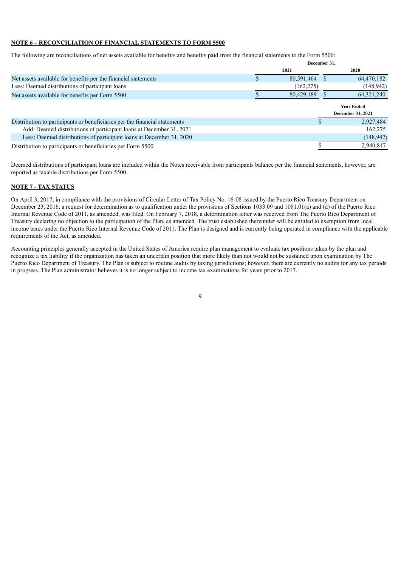#### **NOTE 6 – RECONCILIATION OF FINANCIAL STATEMENTS TO FORM 5500**

The following are reconciliations of net assets available for benefits and benefits paid from the financial statements to the Form 5500:

|                                                                            | December 31, |          |                                               |  |
|----------------------------------------------------------------------------|--------------|----------|-----------------------------------------------|--|
|                                                                            | 2021         |          | 2020                                          |  |
| Net assets available for benefits per the financial statements             | 80,591,464   | <b>S</b> | 64,470,182                                    |  |
| Less: Deemed distributions of participant loans                            | (162, 275)   |          | (148, 942)                                    |  |
| Net assets available for benefits per Form 5500                            | 80,429,189   |          | 64, 321, 240                                  |  |
|                                                                            |              |          | <b>Year Ended</b><br><b>December 31, 2021</b> |  |
| Distribution to participants or beneficiaries per the financial statements |              |          | 2,927,484                                     |  |
| Add: Deemed distributions of participant loans at December 31, 2021        |              |          | 162,275                                       |  |
| Less: Deemed distributions of participant loans at December 31, 2020       |              |          | (148, 942)                                    |  |
| Distribution to participants or beneficiaries per Form 5500                |              |          | 2,940,817                                     |  |
|                                                                            |              |          |                                               |  |

Deemed distributions of participant loans are included within the Notes receivable from participants balance per the financial statements, however, are reported as taxable distributions per Form 5500.

#### **NOTE 7 - TAX STATUS**

On April 3, 2017, in compliance with the provisions of Circular Letter of Tax Policy No. 16-08 issued by the Puerto Rico Treasury Department on December 23, 2016, a request for determination as to qualification under the provisions of Sections 1033.09 and 1081.01(a) and (d) of the Puerto Rico Internal Revenue Code of 2011, as amended, was filed. On February 7, 2018, a determination letter was received from The Puerto Rico Department of Treasury declaring no objection to the participation of the Plan, as amended. The trust established thereunder will be entitled to exemption from local income taxes under the Puerto Rico Internal Revenue Code of 2011. The Plan is designed and is currently being operated in compliance with the applicable requirements of the Act, as amended.

<span id="page-8-0"></span>Accounting principles generally accepted in the United States of America require plan management to evaluate tax positions taken by the plan and recognize a tax liability if the organization has taken an uncertain position that more likely than not would not be sustained upon examination by The Puerto Rico Department of Treasury. The Plan is subject to routine audits by taxing jurisdictions; however, there are currently no audits for any tax periods in progress. The Plan administrator believes it is no longer subject to income tax examinations for years prior to 2017.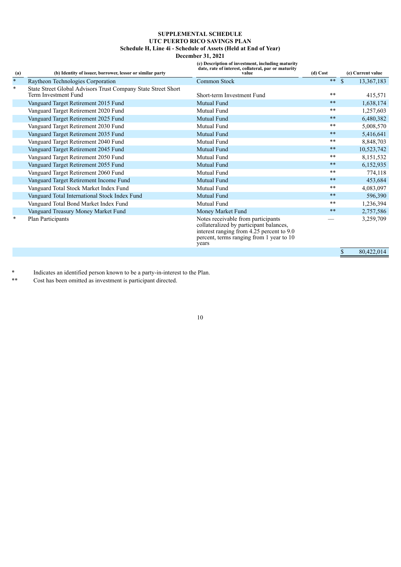## **SUPPLEMENTAL SCHEDULE UTC PUERTO RICO SAVINGS PLAN Schedule H, Line 4i - Schedule of Assets (Held at End of Year)**

## **December 31, 2021**

**(c) Description of investment, including maturity date, rate of interest, collateral, par or maturity**

| $\frac{(\mathbf{a})}{*}$ | (b) Identity of issuer, borrower, lessor or similar party                             | uate, rate or interest, conateral, par or maturity<br>value                                                                                                                     | (d) Cost   |               | (e) Current value |
|--------------------------|---------------------------------------------------------------------------------------|---------------------------------------------------------------------------------------------------------------------------------------------------------------------------------|------------|---------------|-------------------|
|                          | Raytheon Technologies Corporation                                                     | Common Stock                                                                                                                                                                    | $***$      | $\mathcal{S}$ | 13,367,183        |
| $\ast$                   | State Street Global Advisors Trust Company State Street Short<br>Term Investment Fund | Short-term Investment Fund                                                                                                                                                      | **         |               | 415,571           |
|                          | Vanguard Target Retirement 2015 Fund                                                  | Mutual Fund                                                                                                                                                                     | $\ast\ast$ |               | 1,638,174         |
|                          | Vanguard Target Retirement 2020 Fund                                                  | Mutual Fund                                                                                                                                                                     | $**$       |               | 1,257,603         |
|                          | Vanguard Target Retirement 2025 Fund                                                  | <b>Mutual Fund</b>                                                                                                                                                              | $\ast\ast$ |               | 6,480,382         |
|                          | Vanguard Target Retirement 2030 Fund                                                  | Mutual Fund                                                                                                                                                                     | $* *$      |               | 5,008,570         |
|                          | Vanguard Target Retirement 2035 Fund                                                  | Mutual Fund                                                                                                                                                                     | $***$      |               | 5,416,641         |
|                          | Vanguard Target Retirement 2040 Fund                                                  | Mutual Fund                                                                                                                                                                     | **         |               | 8,848,703         |
|                          | Vanguard Target Retirement 2045 Fund                                                  | Mutual Fund                                                                                                                                                                     | $***$      |               | 10,523,742        |
|                          | Vanguard Target Retirement 2050 Fund                                                  | Mutual Fund                                                                                                                                                                     | **         |               | 8,151,532         |
|                          | Vanguard Target Retirement 2055 Fund                                                  | Mutual Fund                                                                                                                                                                     | $***$      |               | 6,152,935         |
|                          | Vanguard Target Retirement 2060 Fund                                                  | Mutual Fund                                                                                                                                                                     | **         |               | 774,118           |
|                          | Vanguard Target Retirement Income Fund                                                | Mutual Fund                                                                                                                                                                     | $***$      |               | 453,684           |
|                          | Vanguard Total Stock Market Index Fund                                                | Mutual Fund                                                                                                                                                                     | **         |               | 4,083,097         |
|                          | Vanguard Total International Stock Index Fund                                         | Mutual Fund                                                                                                                                                                     | $\ast\ast$ |               | 596,390           |
|                          | Vanguard Total Bond Market Index Fund                                                 | Mutual Fund                                                                                                                                                                     | $***$      |               | 1,236,394         |
|                          | Vanguard Treasury Money Market Fund                                                   | Money Market Fund                                                                                                                                                               | $\ast\ast$ |               | 2,757,586         |
| $\ast$                   | Plan Participants                                                                     | Notes receivable from participants<br>collateralized by participant balances,<br>interest ranging from 4.25 percent to 9.0<br>percent, terms ranging from 1 year to 10<br>years |            |               | 3,259,709         |
|                          |                                                                                       |                                                                                                                                                                                 |            |               | 80,422,014        |

Indicates an identified person known to be a party-in-interest to the Plan.

<span id="page-9-0"></span>\*\* Cost has been omitted as investment is participant directed.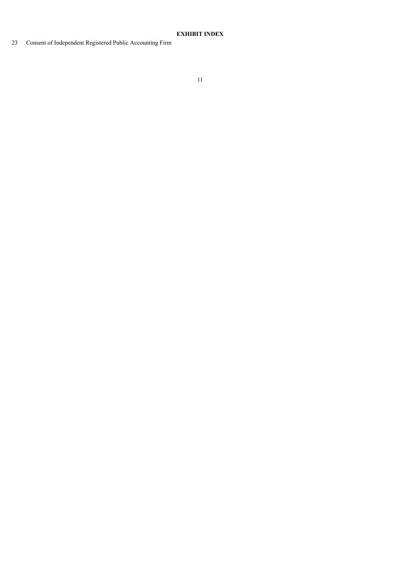## **EXHIBIT INDEX**

<span id="page-10-0"></span>Consent of Independent Registered Public Accounting Firm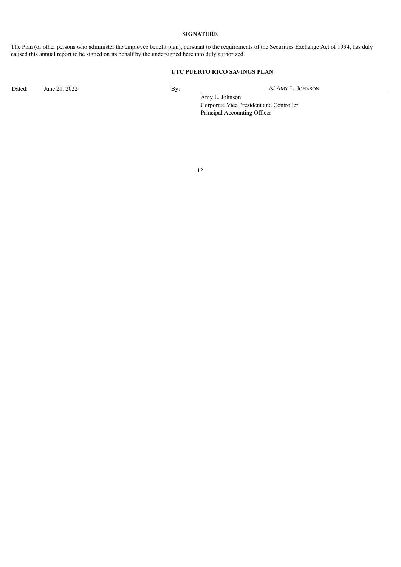#### **SIGNATURE**

The Plan (or other persons who administer the employee benefit plan), pursuant to the requirements of the Securities Exchange Act of 1934, has duly caused this annual report to be signed on its behalf by the undersigned hereunto duly authorized.

## **UTC PUERTO RICO SAVINGS PLAN**

Dated: June 21, 2022 By: /s/ AMY L. JOHNSON

Amy L. Johnson Corporate Vice President and Controller Principal Accounting Officer